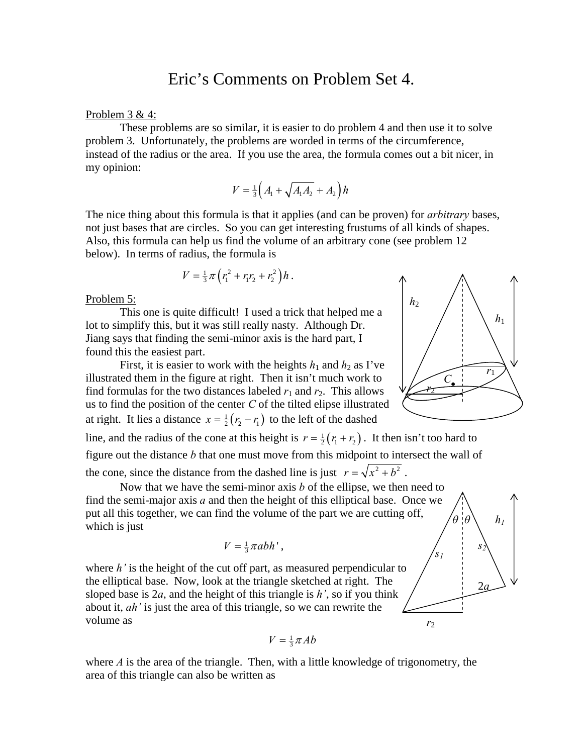# Eric's Comments on Problem Set 4.

## Problem 3 & 4:

 These problems are so similar, it is easier to do problem 4 and then use it to solve problem 3. Unfortunately, the problems are worded in terms of the circumference, instead of the radius or the area. If you use the area, the formula comes out a bit nicer, in my opinion:

$$
V = \frac{1}{3} \left( A_1 + \sqrt{A_1 A_2} + A_2 \right) h
$$

The nice thing about this formula is that it applies (and can be proven) for *arbitrary* bases, not just bases that are circles. So you can get interesting frustums of all kinds of shapes. Also, this formula can help us find the volume of an arbitrary cone (see problem 12 below). In terms of radius, the formula is

$$
V = \frac{1}{3}\pi (r_1^2 + r_1r_2 + r_2^2)h.
$$

### Problem 5:

 This one is quite difficult! I used a trick that helped me a lot to simplify this, but it was still really nasty. Although Dr. Jiang says that finding the semi-minor axis is the hard part, I found this the easiest part.

First, it is easier to work with the heights  $h_1$  and  $h_2$  as I've illustrated them in the figure at right. Then it isn't much work to find formulas for the two distances labeled  $r_1$  and  $r_2$ . This allows us to find the position of the center *C* of the tilted elipse illustrated at right. It lies a distance  $x = \frac{1}{2} (r_2 - r_1)$  to the left of the dashed

line, and the radius of the cone at this height is  $r = \frac{1}{2} (r_1 + r_2)$ . It then isn't too hard to

figure out the distance *b* that one must move from this midpoint to intersect the wall of the cone, since the distance from the dashed line is just  $r = \sqrt{x^2 + b^2}$ .

 Now that we have the semi-minor axis *b* of the ellipse, we then need to find the semi-major axis *a* and then the height of this elliptical base. Once we put all this together, we can find the volume of the part we are cutting off, which is just

$$
V=\tfrac{1}{3}\pi abh',
$$

where *h*' is the height of the cut off part, as measured perpendicular to the elliptical base. Now, look at the triangle sketched at right. The sloped base is 2*a*, and the height of this triangle is *h'*, so if you think about it, *ah'* is just the area of this triangle, so we can rewrite the volume as

$$
V = \frac{1}{3}\pi A b
$$

where *A* is the area of the triangle. Then, with a little knowledge of trigonometry, the area of this triangle can also be written as



*h1* 

*s2* 

*θ θ*

2*a*

*r*2

*s1*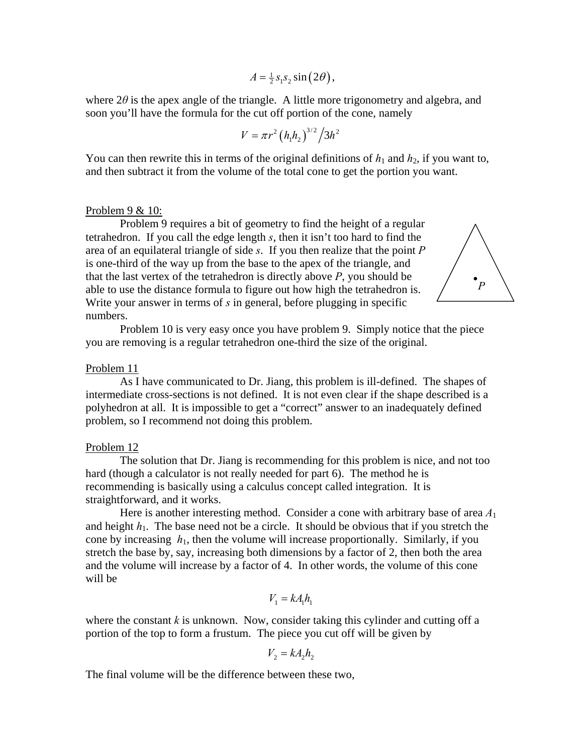$$
A = \frac{1}{2} s_1 s_2 \sin(2\theta),
$$

where  $2\theta$  is the apex angle of the triangle. A little more trigonometry and algebra, and soon you'll have the formula for the cut off portion of the cone, namely

$$
V = \pi r^2 (h_1 h_2)^{3/2} / 3h^2
$$

You can then rewrite this in terms of the original definitions of  $h_1$  and  $h_2$ , if you want to, and then subtract it from the volume of the total cone to get the portion you want.

# Problem 9 & 10:

 Problem 9 requires a bit of geometry to find the height of a regular tetrahedron. If you call the edge length *s*, then it isn't too hard to find the area of an equilateral triangle of side *s*. If you then realize that the point *P* is one-third of the way up from the base to the apex of the triangle, and that the last vertex of the tetrahedron is directly above *P*, you should be able to use the distance formula to figure out how high the tetrahedron is. Write your answer in terms of *s* in general, before plugging in specific numbers.



 Problem 10 is very easy once you have problem 9. Simply notice that the piece you are removing is a regular tetrahedron one-third the size of the original.

## Problem 11

 As I have communicated to Dr. Jiang, this problem is ill-defined. The shapes of intermediate cross-sections is not defined. It is not even clear if the shape described is a polyhedron at all. It is impossible to get a "correct" answer to an inadequately defined problem, so I recommend not doing this problem.

#### Problem 12

 The solution that Dr. Jiang is recommending for this problem is nice, and not too hard (though a calculator is not really needed for part 6). The method he is recommending is basically using a calculus concept called integration. It is straightforward, and it works.

 Here is another interesting method. Consider a cone with arbitrary base of area *A*<sup>1</sup> and height  $h_1$ . The base need not be a circle. It should be obvious that if you stretch the cone by increasing  $h_1$ , then the volume will increase proportionally. Similarly, if you stretch the base by, say, increasing both dimensions by a factor of 2, then both the area and the volume will increase by a factor of 4. In other words, the volume of this cone will be

$$
V_1 = k A_1 h_1
$$

where the constant  $k$  is unknown. Now, consider taking this cylinder and cutting off a portion of the top to form a frustum. The piece you cut off will be given by

$$
V_2 = kA_2 h_2
$$

The final volume will be the difference between these two,